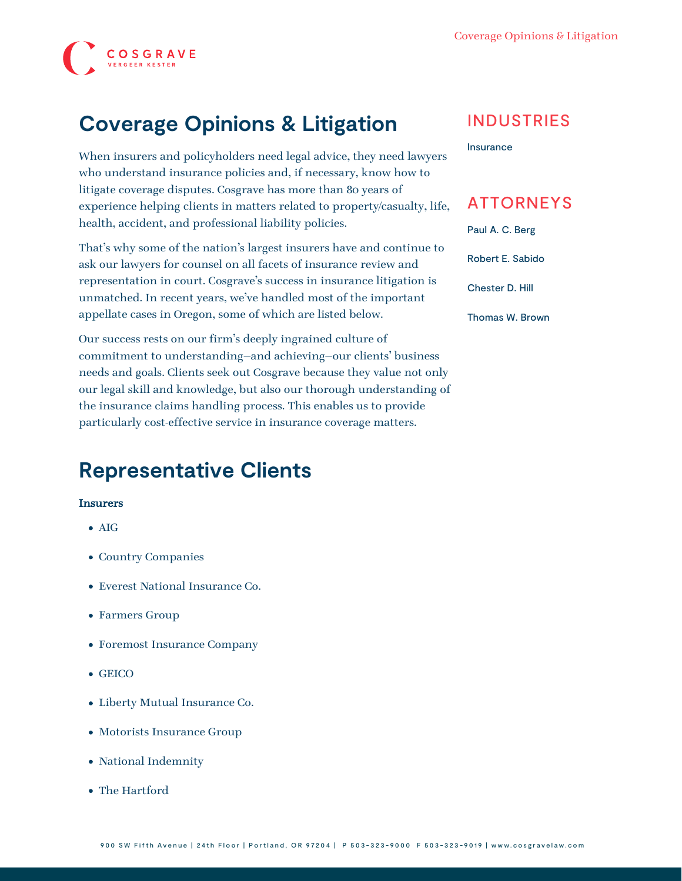

# **Coverage Opinions & Litigation**

When insurers and policyholders need legal advice, they need lawyers who understand insurance policies and, if necessary, know how to litigate coverage disputes. Cosgrave has more than 80 years of experience helping clients in matters related to property/casualty, life, health, accident, and professional liability policies.

That's why some of the nation's largest insurers have and continue to ask our lawyers for counsel on all facets of insurance review and representation in court. Cosgrave's success in insurance litigation is unmatched. In recent years, we've handled most of the important [appellate](https://www.cosgravelaw.com/practice/appellate-litigation-support/) cases in Oregon, some of which are listed below.

Our success rests on our firm's deeply ingrained culture of commitment to understanding—and achieving—our clients' business needs and goals. Clients seek out Cosgrave because they value not only our legal skill and knowledge, but also our thorough understanding of the insurance claims handling process. This enables us to provide particularly cost-effective service in insurance coverage matters.

# **Representative Clients**

#### Insurers

- AIG
- Country Companies
- Everest National Insurance Co.
- Farmers Group
- Foremost Insurance Company
- GEICO
- Liberty Mutual Insurance Co.
- Motorists Insurance Group
- National Indemnity
- The Hartford

### INDUSTRIES

[Insurance](https://www.cosgravelaw.com/insurance/)

## ATTORNEYS

[Paul A. C. Berg](https://www.cosgravelaw.com/paul-berg-insurance-coverage/)

[Robert E. Sabido](https://www.cosgravelaw.com/robert-sabido-financial-services/)

[Chester D. Hill](https://www.cosgravelaw.com/chester-hill-commercial-landlord-tenant-attorney/)

[Thomas W. Brown](https://www.cosgravelaw.com/thomas-w-brown/)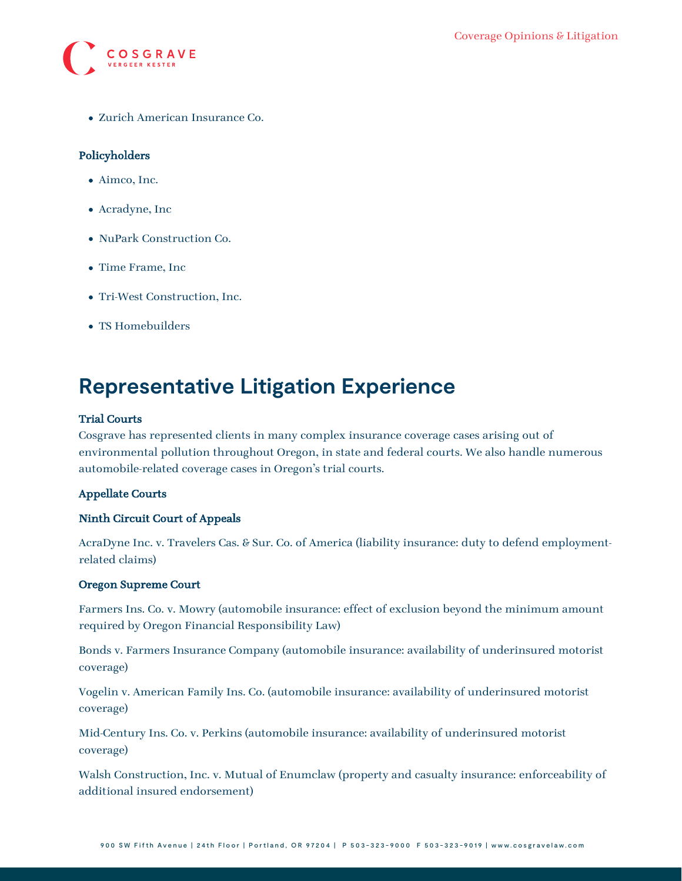

Zurich American Insurance Co.

#### Policyholders

- Aimco, Inc.
- Acradyne, Inc
- NuPark Construction Co.
- Time Frame, Inc.
- Tri-West Construction, Inc.
- TS Homebuilders

## **Representative Litigation Experience**

#### Trial Courts

Cosgrave has represented clients in many complex insurance coverage cases arising out of environmental pollution throughout Oregon, in state and federal courts. We also handle numerous automobile-related coverage cases in Oregon's trial courts.

#### Appellate Courts

#### Ninth Circuit Court of Appeals

[AcraDyne Inc. v. Travelers Cas. & Sur. Co. of America](http://archive.ca9.uscourts.gov/coa/memdispo.nsf/pdfview/011008/$File/05-35903.PDF) (liability insurance: duty to defend employmentrelated claims)

#### Oregon Supreme Court

[Farmers Ins. Co. v. Mowry](https://www.lexis.com/research/retrieve?_m=c89a2ca849ac8477bc2d036e43b6c762&docnum=1&_fmtstr=FULL&_startdoc=1&wchp=dGLzVzB-zSkAz&_md5=ebfd2762472aa161cb01c8b8b22c51ee) (automobile insurance: effect of exclusion beyond the minimum amount required by Oregon Financial Responsibility Law)

[Bonds v. Farmers Insurance Company](http://www.publications.ojd.state.or.us/S057422.htm) (automobile insurance: availability of underinsured motorist coverage)

[Vogelin v. American Family Ins. Co.](http://www.publications.ojd.state.or.us/S056655.htm) (automobile insurance: availability of underinsured motorist coverage)

[Mid-Century Ins. Co. v. Perkins](http://www.publications.ojd.state.or.us/S054652.htm) (automobile insurance: availability of underinsured motorist coverage)

[Walsh Construction, Inc. v. Mutual of Enumclaw](http://www.publications.ojd.state.or.us/S51104.htm) (property and casualty insurance: enforceability of additional insured endorsement)